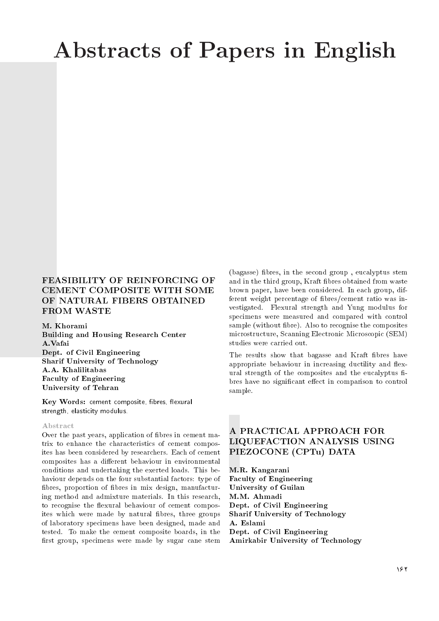# Abstracts of Papers in English

## FEASIBILITY OF REINFORCING OF CEMENT COMPOSITE WITH SOME OF NATURAL FIBERS OBTAINED FROM WASTE

M. Khorami Building and Housing Research Center A.Vafai Dept. of Civil Engineering Sharif University of Technology A.A. Khalilitabas Faculty of Engineering University of Tehran

Key Words: cement composite, fibres, flexural strength, elasticity modulus.

#### Abstract

Over the past years, application of bres in cement matrix to enhance the characteristics of cement composites has been considered by researchers. Each of cement composites has a different behaviour in environmental conditions and undertaking the exerted loads. This behaviour depends on the four substantial factors: type of fibres, proportion of fibres in mix design, manufacturing method and admixture materials. In this research, to recognise the flexural behaviour of cement composites which were made by natural fibres, three groups of laboratory specimens have been designed, made and tested. To make the cement composite boards, in the first group, specimens were made by sugar cane stem

(bagasse) bres, in the second group , eucalyptus stem and in the third group, Kraft bres obtained from waste brown paper, have been considered. In each group, different weight percentage of bres/cement ratio was investigated. Flexural strength and Yung modulus for specimens were measured and compared with control sample (without bre). Also to recognise the composites microstructure, Scanning Electronic Microscopic (SEM) studies were carried out.

The results show that bagasse and Kraft fibres have appropriate behaviour in increasing ductility and flexural strength of the composites and the eucalyptus fibres have no significant effect in comparison to control sample.

## A PRACTICAL APPROACH FOR LIQUEFACTION ANALYSIS USING PIEZOCONE (CPTu) DATA

M.R. Kangarani Faculty of Engineering University of Guilan M.M. Ahmadi Dept. of Civil Engineering Sharif University of Technology A. Eslami Dept. of Civil Engineering Amirkabir University of Technology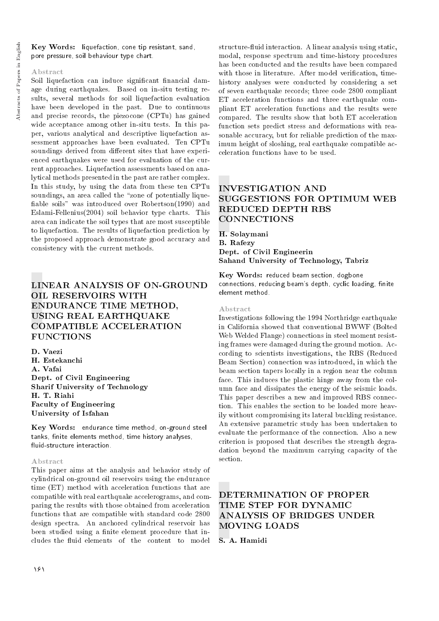Key Words: liquefaction, cone tip resistant, sand, pore pressure, soil behaviour type chart.

### Abstract

Soil liquefaction can induce significant financial damage during earthquakes. Based on in-situ testing results, several methods for soil liquefaction evaluation have been developed in the past. Due to continuous and precise records, the piezocone (CPTu) has gained wide acceptance among other in-situ tests. In this paper, various analytical and descriptive liquefaction assessment approaches have been evaluated. Ten CPTu soundings derived from different sites that have experienced earthquakes were used for evaluation of the current approaches. Liquefaction assessments based on analytical methods presented in the past are rather complex. In this study, by using the data from these ten CPTu soundings, an area called the "zone of potentially liquefiable soils" was introduced over Robertson(1990) and Eslami-Fellenius(2004) soil behavior type charts. This area can indicate the soil types that are most susceptible to liquefaction. The results of liquefaction prediction by the proposed approach demonstrate good accuracy and consistency with the current methods.

# LINEAR ANALYSIS OF ON-GROUND OIL RESERVOIRS WITH ENDURANCE TIME METHOD, USING REAL EARTHQUAKE COMPATIBLE ACCELERATION **FUNCTIONS**

D. Vaezi H. Estekanchi A. Vafai Dept. of Civil Engineering Sharif University of Technology H. T. Riahi Faculty of Engineering University of Isfahan

Key Words: endurance time method, on-ground steel tanks, finite elements method, time history analyses, fluid-structure interaction.

## Abstract

This paper aims at the analysis and behavior study of cylindrical on-ground oil reservoirs using the endurance time (ET) method with acceleration functions that are compatible with real earthquake accelerograms, and comparing the results with those obtained from acceleration functions that are compatible with standard code 2800 design spectra. An anchored cylindrical reservoir has been studied using a finite element procedure that includes the fluid elements of the content to model

structure-fluid interaction. A linear analysis using static, modal, response spectrum and time-history procedures has been conducted and the results have been compared with those in literature. After model verification, timehistory analyses were conducted by considering a set of seven earthquake records; three code 2800 compliant ET acceleration functions and three earthquake compliant ET acceleration functions and the results were compared. The results show that both ET acceleration function sets predict stress and deformations with reasonable accuracy, but for reliable prediction of the maximum height of sloshing, real earthquake compatible acceleration functions have to be used.

# INVESTIGATION AND SUGGESTIONS FOR OPTIMUM WEB REDUCED DEPTH RBS **CONNECTIONS**

H. Solaymani B. Rafezy Dept. of Civil Engineerin Sahand University of Technology, Tabriz

Key Words: reduced beam section, dogbone connections, reducing beam's depth, cyclic loading, finite element method.

#### Abstract

Investigations following the 1994 Northridge earthquake in California showed that conventional BWWF (Bolted Web Welded Flange) connections in steel moment resisting frames were damaged during the ground motion. According to scientists investigations, the RBS (Reduced Beam Section) connection was introduced, in which the beam section tapers locally in a region near the column face. This induces the plastic hinge away from the column face and dissipates the energy of the seismic loads. This paper describes a new and improved RBS connection. This enables the section to be loaded more heavily without compromising its lateral buckling resistance. An extensive parametric study has been undertaken to evaluate the performance of the connection. Also a new criterion is proposed that describes the strength degradation beyond the maximum carrying capacity of the section.

# DETERMINATION OF PROPER TIME STEP FOR DYNAMIC ANALYSIS OF BRIDGES UNDER MOVING LOADS

S. A. Hamidi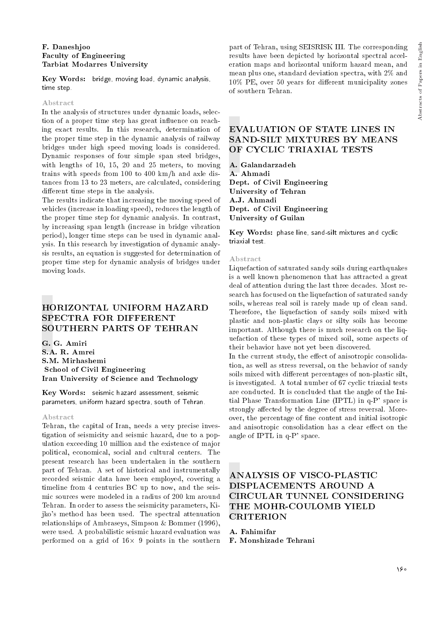#### F. Daneshjoo Faculty of Engineering Tarbiat Modarres University

Key Words: bridge, moving load, dynamic analysis, time step.

#### Abstract

In the analysis of structures under dynamic loads, selection of a proper time step has great influence on reaching exact results. In this research, determination of the proper time step in the dynamic analysis of railway bridges under high speed moving loads is considered. Dynamic responses of four simple span steel bridges, with lengths of 10, 15, 20 and 25 meters, to moving trains with speeds from 100 to 400 km/h and axle distances from 13 to 23 meters, are calculated, considering different time steps in the analysis.

The results indicate that increasing the moving speed of vehicles (increase in loading speed), reduces the length of the proper time step for dynamic analysis. In contrast, by increasing span length (increase in bridge vibration period), longer time steps can be used in dynamic analysis. In this research by investigation of dynamic analysis results, an equation is suggested for determination of proper time step for dynamic analysis of bridges under moving loads.

## HORIZONTAL UNIFORM HAZARD SPECTRA FOR DIFFERENT SOUTHERN PARTS OF TEHRAN

G. G. Amiri S.A. R. Amrei S.M. Mirhashemi School of Civil Engineering Iran University of Science and Technology

Key Words: seismic hazard assessment, seismic parameters, uniform hazard spectra, south of Tehran.

#### Abstract

Tehran, the capital of Iran, needs a very precise investigation of seismicity and seismic hazard, due to a population exceeding 10 million and the existence of major political, economical, social and cultural centers. The present research has been undertaken in the southern part of Tehran. A set of historical and instrumentally recorded seismic data have been employed, covering a timeline from 4 centuries BC up to now, and the seismic sources were modeled in a radius of 200 km around Tehran. In order to assess the seismicity parameters, Kijko's method has been used. The spectral attenuation relationships of Ambraseys, Simpson & Bommer (1996), were used. A probabilistic seismic hazard evaluation was performed on a grid of  $16\times$  9 points in the southern

part of Tehran, using SEISRISK III. The corresponding results have been depicted by horizontal spectral acceleration maps and horizontal uniform hazard mean, and mean plus one, standard deviation spectra, with 2% and 10% PE, over 50 years for different municipality zones of southern Tehran.

## EVALUATION OF STATE LINES IN SAND-SILT MIXTURES BY MEANS OF CYCLIC TRIAXIAL TESTS

A. Galandarzadeh A. Ahmadi Dept. of Civil Engineering University of Tehran A.J. Ahmadi Dept. of Civil Engineering University of Guilan

Key Words: phase line, sand-silt mixtures and cyclic triaxial test.

#### Abstract

Liquefaction of saturated sandy soils during earthquakes is a well known phenomenon that has attracted a great deal of attention during the last three decades. Most research has focused on the liquefaction of saturated sandy soils, whereas real soil is rarely made up of clean sand. Therefore, the liquefaction of sandy soils mixed with plastic and non-plastic clays or silty soils has become important. Although there is much research on the liquefaction of these types of mixed soil, some aspects of their behavior have not yet been discovered.

In the current study, the effect of anisotropic consolidation, as well as stress reversal, on the behavior of sandy soils mixed with different percentages of non-plastic silt, is investigated. A total number of 67 cyclic triaxial tests are conducted. It is concluded that the angle of the Initial Phase Transformation Line (IPTL) in q-P' space is strongly affected by the degree of stress reversal. Moreover, the percentage of ne content and initial isotropic and anisotropic consolidation has a clear effect on the angle of IPTL in q-P' space.

## ANALYSIS OF VISCO-PLASTIC DISPLACEMENTS AROUND A CIRCULAR TUNNEL CONSIDERING THE MOHR-COULOMB YIELD **CRITERION**

A. Fahimifar

F. Monshizade Tehrani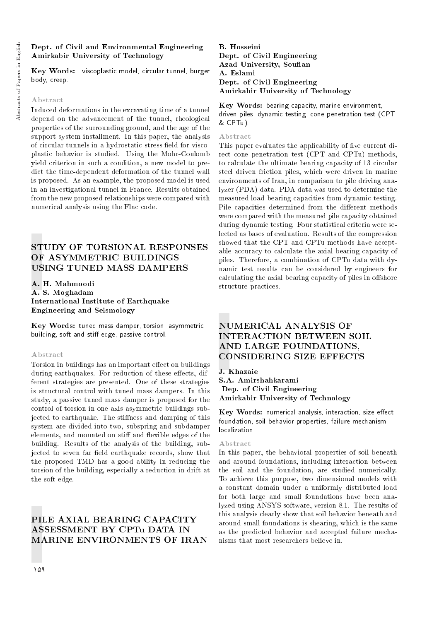### Dept. of Civil and Environmental Engineering Amirkabir University of Technology

Key Words: viscoplastic model, circular tunnel, burger body, creep.

#### Abstract

Induced deformations in the excavating time of a tunnel depend on the advancement of the tunnel, rheological properties of the surrounding ground, and the age of the support system installment. In this paper, the analysis of circular tunnels in a hydrostatic stress field for viscoplastic behavior is studied. Using the Mohr-Coulomb yield criterion in such a condition, a new model to predict the time-dependent deformation of the tunnel wall is proposed. As an example, the proposed model is used in an investigational tunnel in France. Results obtained from the new proposed relationships were compared with numerical analysis using the Flac code.

## STUDY OF TORSIONAL RESPONSES OF ASYMMETRIC BUILDINGS USING TUNED MASS DAMPERS

A. H. Mahmoodi A. S. Moghadam International Institute of Earthquake Engineering and Seismology

Key Words: tuned mass damper, torsion, asymmetric building, soft and stiff edge, passive control.

#### Abstract

Torsion in buildings has an important effect on buildings during earthquakes. For reduction of these effects, different strategies are presented. One of these strategies is structural control with tuned mass dampers. In this study, a passive tuned mass damper is proposed for the control of torsion in one axis asymmetric buildings subjected to earthquake. The stiffness and damping of this system are divided into two, subspring and subdamper elements, and mounted on stiff and flexible edges of the building. Results of the analysis of the building, subjected to seven far field earthquake records, show that the proposed TMD has a good ability in reducing the torsion of the building, especially a reduction in drift at the soft edge.

# PILE AXIAL BEARING CAPACITY ASSESSMENT BY CPTu DATA IN MARINE ENVIRONMENTS OF IRAN

B. Hosseini Dept. of Civil Engineering Azad University, Soufian A. Eslami Dept. of Civil Engineering Amirkabir University of Technology

Key Words: bearing capacity, marine environment, driven piles, dynamic testing, cone penetration test (CPT & CPTu).

#### Abstract

This paper evaluates the applicability of five current direct cone penetration test (CPT and CPTu) methods, to calculate the ultimate bearing capacity of 13 circular steel driven friction piles, which were driven in marine environments of Iran, in comparison to pile driving analyzer (PDA) data. PDA data was used to determine the measured load bearing capacities from dynamic testing. Pile capacities determined from the different methods were compared with the measured pile capacity obtained during dynamic testing. Four statistical criteria were selected as bases of evaluation. Results of the compression showed that the CPT and CPTu methods have acceptable accuracy to calculate the axial bearing capacity of piles. Therefore, a combination of CPTu data with dynamic test results can be considered by engineers for calculating the axial bearing capacity of piles in offshore structure practices.

# NUMERICAL ANALYSIS OF INTERACTION BETWEEN SOIL AND LARGE FOUNDATIONS, CONSIDERING SIZE EFFECTS

J. Khazaie S.A. Amirshahkarami Dep. of Civil Engineering Amirkabir University of Technology

 $\rm\bf Key~Words:~numerical~analysis,~interaction, size~effect$ foundation, soil behavior properties, failure mechanism, localization.

#### Abstract

In this paper, the behavioral properties of soil beneath and around foundations, including interaction between the soil and the foundation, are studied numerically. To achieve this purpose, two dimensional models with a constant domain under a uniformly distributed load for both large and small foundations have been analyzed using ANSYS software, version 8.1. The results of this analysis clearly show that soil behavior beneath and around small foundations is shearing, which is the same as the predicted behavior and accepted failure mechanisms that most researchers believe in.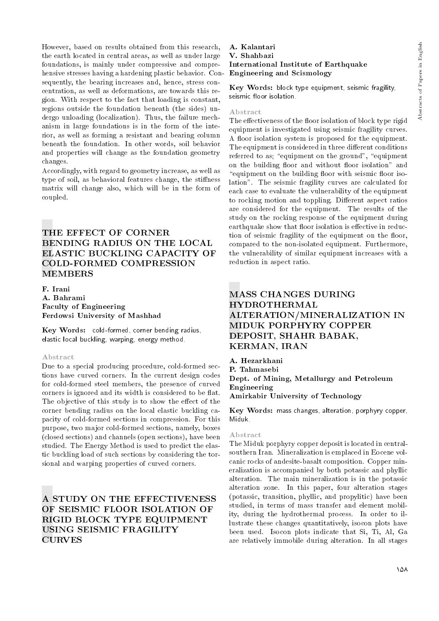However, based on results obtained from this research, the earth located in central areas, as well as under large foundations, is mainly under compressive and comprehensive stresses having a hardening plastic behavior. Consequently, the bearing increases and, hence, stress concentration, as well as deformations, are towards this region. With respect to the fact that loading is constant, regions outside the foundation beneath (the sides) undergo unloading (localization). Thus, the failure mechanism in large foundations is in the form of the interior, as well as forming a resistant and bearing column beneath the foundation. In other words, soil behavior and properties will change as the foundation geometry changes.

Accordingly, with regard to geometry increase, as well as type of soil, as behavioral features change, the stiffness matrix will change also, which will be in the form of coupled.

# THE EFFECT OF CORNER BENDING RADIUS ON THE LOCAL ELASTIC BUCKLING CAPACITY OF COLD-FORMED COMPRESSION MEMBERS

F. Irani A. Bahrami Faculty of Engineering Ferdowsi University of Mashhad

Key Words: cold-formed, corner bending radius, elastic local buckling, warping, energy method.

#### Abstract

Due to a special producing procedure, cold-formed sections have curved corners. In the current design codes for cold-formed steel members, the presence of curved corners is ignored and its width is considered to be flat. The objective of this study is to show the effect of the corner bending radius on the local elastic buckling capacity of cold-formed sections in compression. For this purpose, two major cold-formed sections, namely, boxes (closed sections) and channels (open sections), have been studied. The Energy Method is used to predict the elastic buckling load of such sections by considering the torsional and warping properties of curved corners.

A STUDY ON THE EFFECTIVENESS OF SEISMIC FLOOR ISOLATION OF RIGID BLOCK TYPE EQUIPMENT USING SEISMIC FRAGILITY **CURVES** 

#### A. Kalantari V. Shahbazi International Institute of Earthquake Engineering and Scismology

Key Words: block type equipment, seismic fragility, seismic floor isolation.

#### Abstract

The effectiveness of the floor isolation of block type rigid equipment is investigated using seismic fragility curves. A floor isolation system is proposed for the equipment. The equipment is considered in three different conditions referred to as; "equipment on the ground", "equipment on the building floor and without floor isolation" and "equipment on the building floor with seismic floor isolation". The seismic fragility curves are calculated for each case to evaluate the vulnerability of the equipment to rocking motion and toppling. Different aspect ratios are considered for the equipment. The results of the study on the rocking response of the equipment during earthquake show that floor isolation is effective in reduction of seismic fragility of the equipment on the floor, compared to the non-isolated equipment. Furthermore, the vulnerability of similar equipment increases with a reduction in aspect ratio.

# MASS CHANGES DURING HYDROTHERMAL ALTERATION/MINERALIZATION IN MIDUK PORPHYRY COPPER DEPOSIT, SHAHR BABAK, KERMAN, IRAN

A. Hezarkhani P. Tahmasebi Dept. of Mining, Metallurgy and Petroleum Engineering Amirkabir University of Technology

Key Words: mass changes, alteration, porphyry copper, Miduk.

#### Abstract

The Miduk porphyry copper deposit is located in centralsouthern Iran. Mineralization is emplaced in Eocene volcanic rocks of andesite-basalt composition. Copper mineralization is accompanied by both potassic and phyllic alteration. The main mineralization is in the potassic alteration zone. In this paper, four alteration stages (potassic, transition, phyllic, and propylitic) have been studied, in terms of mass transfer and element mobility, during the hydrothermal process. In order to illustrate these changes quantitatively, isocon plots have been used. Isocon plots indicate that Si, Ti, Al, Ga are relatively immobile during alteration. In all stages